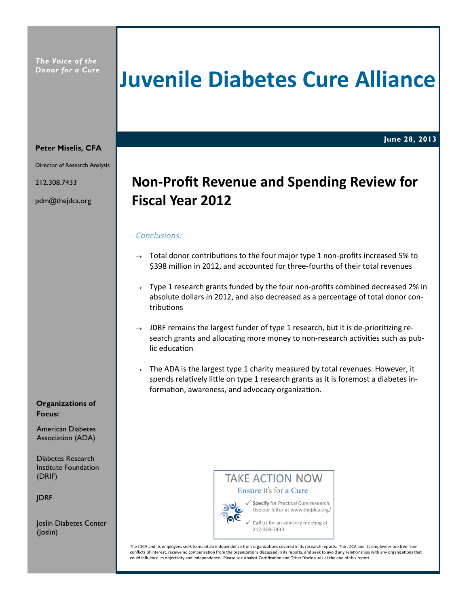# **Juvenile Diabetes Cure Alliance**

**June 28, 2013**

#### **Peter Miselis, CFA**

Director of Research Analysis

212.308.7433

pdm@thejdca.org

## **Non-Profit Revenue and Spending Review for Fiscal Year 2012**

## *Conclusions:*

- $\rightarrow$  Total donor contributions to the four major type 1 non-profits increased 5% to \$398 million in 2012, and accounted for three-fourths of their total revenues
- $\rightarrow$  Type 1 research grants funded by the four non-profits combined decreased 2% in absolute dollars in 2012, and also decreased as a percentage of total donor contributions
- $\rightarrow$  JDRF remains the largest funder of type 1 research, but it is de-prioritizing research grants and allocating more money to non-research activities such as public education
- $\rightarrow$  The ADA is the largest type 1 charity measured by total revenues. However, it spends relatively little on type 1 research grants as it is foremost a diabetes information, awareness, and advocacy organization.

## **Organizations of Focus:**

American Diabetes Association (ADA)

Diabetes Research Institute Foundation (DRIF)

JDRF

Joslin Diabetes Center (Joslin)

## **TAKE ACTION NOW** Ensure it's for a Cure



√ Specify for Practical Cure research. Use our letter at www.thejdca.org/

Call us for an advisory meeting at 212-308-7433

The JDCA and its employees seek to maintain independence from organizations covered in its research reports. The JDCA and its employees are free from conflicts of interest, receive no compensation from the organizations discussed in its reports, and seek to avoid any relationships with any organizations that could influence its objectivity and independence. Please see Analyst Certification and Other Disclosures at the end of this report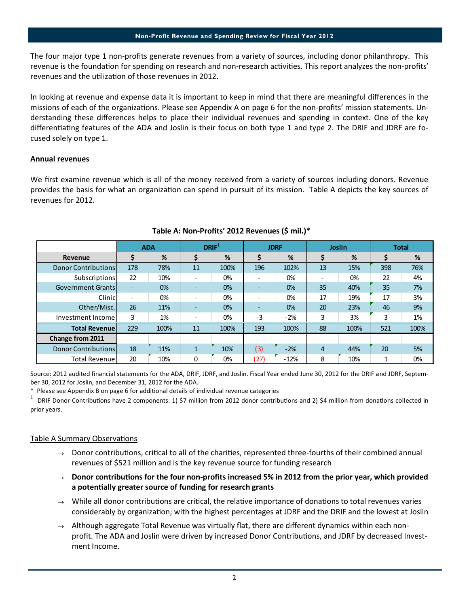**Non-Profit Revenue and Spending Review for Fiscal Year 2012**

The four major type 1 non-profits generate revenues from a variety of sources, including donor philanthropy. This revenue is the foundation for spending on research and non-research activities. This report analyzes the non-profits' revenues and the utilization of those revenues in 2012.

In looking at revenue and expense data it is important to keep in mind that there are meaningful differences in the missions of each of the organizations. Please see Appendix A on page 6 for the non-profits' mission statements. Understanding these differences helps to place their individual revenues and spending in context. One of the key differentiating features of the ADA and Joslin is their focus on both type 1 and type 2. The DRIF and JDRF are focused solely on type 1.

## **Annual revenues**

We first examine revenue which is all of the money received from a variety of sources including donors. Revenue provides the basis for what an organization can spend in pursuit of its mission. Table A depicts the key sources of revenues for 2012.

|                            | <b>ADA</b>               |      | DRIF <sup>1</sup>        |      | <b>JDRF</b>                  |        | <b>Joslin</b> |      | Total |      |
|----------------------------|--------------------------|------|--------------------------|------|------------------------------|--------|---------------|------|-------|------|
| Revenue                    | \$                       | %    | S                        | %    | S                            | %      | S             | %    | S     | %    |
| <b>Donor Contributions</b> | 178                      | 78%  | 11                       | 100% | 196                          | 102%   | 13            | 15%  | 398   | 76%  |
| Subscriptions              | 22                       | 10%  | $\overline{\phantom{0}}$ | 0%   |                              | 0%     |               | 0%   | 22    | 4%   |
| <b>Government Grants</b>   | $\overline{\phantom{a}}$ | 0%   | $\overline{\phantom{a}}$ | 0%   | $\overline{\phantom{a}}$     | 0%     | 35            | 40%  | 35    | 7%   |
| Clinicl                    | $\overline{\phantom{a}}$ | 0%   | $\overline{\phantom{0}}$ | 0%   | $\overline{\phantom{a}}$     | 0%     | 17            | 19%  | 17    | 3%   |
| Other/Misc.                | 26                       | 11%  | ٠                        | 0%   | $\qquad \qquad \blacksquare$ | 0%     | 20            | 23%  | 46    | 9%   |
| Investment Income          | 3                        | 1%   | $\overline{\phantom{0}}$ | 0%   | $-3$                         | $-2%$  | 3             | 3%   | 3     | 1%   |
| <b>Total Revenuel</b>      | 229                      | 100% | 11                       | 100% | 193                          | 100%   | 88            | 100% | 521   | 100% |
| Change from 2011           |                          |      |                          |      |                              |        |               |      |       |      |
| Donor Contributions        | 18                       | 11%  | $\mathbf{1}$             | 10%  | (3)                          | $-2%$  | 4             | 44%  | 20    | 5%   |
| <b>Total Revenue</b>       | 20                       | 10%  | 0                        | 0%   | (27)                         | $-12%$ | 8             | 10%  |       | 0%   |

## **Table A: Non-Profits' 2012 Revenues (\$ mil.)\***

Source: 2012 audited financial statements for the ADA, DRIF, JDRF, and Joslin. Fiscal Year ended June 30, 2012 for the DRIF and JDRF, September 30, 2012 for Joslin, and December 31, 2012 for the ADA.

\* Please see Appendix B on page 6 for additional details of individual revenue categories

<sup>1</sup> DRIF Donor Contributions have 2 components: 1) \$7 million from 2012 donor contributions and 2) \$4 million from donations collected in prior years.

## Table A Summary Observations

- $\rightarrow$  Donor contributions, critical to all of the charities, represented three-fourths of their combined annual revenues of \$521 million and is the key revenue source for funding research
- **Donor contributions for the four non-profits increased 5% in 2012 from the prior year, which provided a potentially greater source of funding for research grants**
- $\rightarrow$  While all donor contributions are critical, the relative importance of donations to total revenues varies considerably by organization; with the highest percentages at JDRF and the DRIF and the lowest at Joslin
- $\rightarrow$  Although aggregate Total Revenue was virtually flat, there are different dynamics within each nonprofit. The ADA and Joslin were driven by increased Donor Contributions, and JDRF by decreased Investment Income.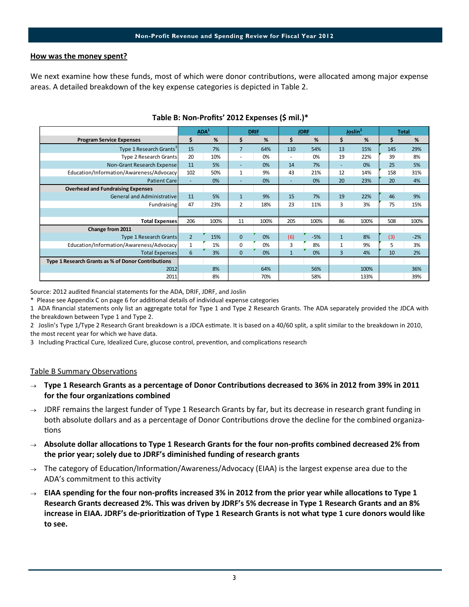## **How was the money spent?**

We next examine how these funds, most of which were donor contributions, were allocated among major expense areas. A detailed breakdown of the key expense categories is depicted in Table 2.

|                                                    | ADA <sup>1</sup>         |      | <b>DRIF</b>              |      | <b>JDRF</b>  |       | Joslin <sup>2</sup> |      | <b>Total</b> |       |
|----------------------------------------------------|--------------------------|------|--------------------------|------|--------------|-------|---------------------|------|--------------|-------|
| <b>Program Service Expenses</b>                    |                          | %    | \$                       | %    | \$           | %     | \$                  | %    | Ś.           | %     |
| Type 1 Research Grants <sup>3</sup>                | 15                       | 7%   | 7                        | 64%  | 110          | 54%   | 13                  | 15%  | 145          | 29%   |
| <b>Type 2 Research Grants</b>                      | 20                       | 10%  | ٠                        | 0%   | ٠            | 0%    | 19                  | 22%  | 39           | 8%    |
| Non-Grant Research Expense                         | 11                       | 5%   | ٠                        | 0%   | 14           | 7%    | -                   | 0%   | 25           | 5%    |
| Education/Information/Awareness/Advocacy           | 102                      | 50%  | 1                        | 9%   | 43           | 21%   | 12                  | 14%  | 158          | 31%   |
| <b>Patient Care</b>                                | $\overline{\phantom{a}}$ | 0%   | $\overline{\phantom{a}}$ | 0%   | $\sim$       | 0%    | 20                  | 23%  | 20           | 4%    |
| <b>Overhead and Fundraising Expenses</b>           |                          |      |                          |      |              |       |                     |      |              |       |
| General and Administrative                         | 11                       | 5%   | $\mathbf{1}$             | 9%   | 15           | 7%    | 19                  | 22%  | 46           | 9%    |
| Fundraising                                        | 47                       | 23%  | $\overline{2}$           | 18%  | 23           | 11%   | 3                   | 3%   | 75           | 15%   |
|                                                    |                          |      |                          |      |              |       |                     |      |              |       |
| <b>Total Expenses</b>                              | 206                      | 100% | 11                       | 100% | 205          | 100%  | 86                  | 100% | 508          | 100%  |
| Change from 2011                                   |                          |      |                          |      |              |       |                     |      |              |       |
| Type 1 Research Grants                             | $\overline{2}$           | 15%  | $\Omega$                 | 0%   | (6)          | $-5%$ | $\mathbf{1}$        | 8%   | (3)          | $-2%$ |
| Education/Information/Awareness/Advocacy           | $\mathbf{1}$             | 1%   | 0                        | 0%   | 3            | 8%    | 1                   | 9%   | 5            | 3%    |
| <b>Total Expenses</b>                              | 6                        | 3%   | $\Omega$                 | 0%   | $\mathbf{1}$ | 0%    | $\overline{3}$      | 4%   | 10           | 2%    |
| Type 1 Research Grants as % of Donor Contributions |                          |      |                          |      |              |       |                     |      |              |       |
| 2012                                               |                          | 8%   |                          | 64%  |              | 56%   |                     | 100% |              | 36%   |
| 2011                                               |                          | 8%   |                          | 70%  |              | 58%   |                     | 133% |              | 39%   |

## **Table B: Non-Profits' 2012 Expenses (\$ mil.)\***

Source: 2012 audited financial statements for the ADA, DRIF, JDRF, and Joslin

\* Please see Appendix C on page 6 for additional details of individual expense categories

1 ADA financial statements only list an aggregate total for Type 1 and Type 2 Research Grants. The ADA separately provided the JDCA with the breakdown between Type 1 and Type 2.

2 Joslin's Type 1/Type 2 Research Grant breakdown is a JDCA estimate. It is based on a 40/60 split, a split similar to the breakdown in 2010, the most recent year for which we have data.

3 Including Practical Cure, Idealized Cure, glucose control, prevention, and complications research

## Table B Summary Observations

## **Type 1 Research Grants as a percentage of Donor Contributions decreased to 36% in 2012 from 39% in 2011 for the four organizations combined**

- $\rightarrow$  JDRF remains the largest funder of Type 1 Research Grants by far, but its decrease in research grant funding in both absolute dollars and as a percentage of Donor Contributions drove the decline for the combined organizations
- **Absolute dollar allocations to Type 1 Research Grants for the four non-profits combined decreased 2% from the prior year; solely due to JDRF's diminished funding of research grants**
- $\rightarrow$  The category of Education/Information/Awareness/Advocacy (EIAA) is the largest expense area due to the ADA's commitment to this activity
- **EIAA spending for the four non-profits increased 3% in 2012 from the prior year while allocations to Type 1 Research Grants decreased 2%. This was driven by JDRF's 5% decrease in Type 1 Research Grants and an 8% increase in EIAA. JDRF's de-prioritization of Type 1 Research Grants is not what type 1 cure donors would like to see.**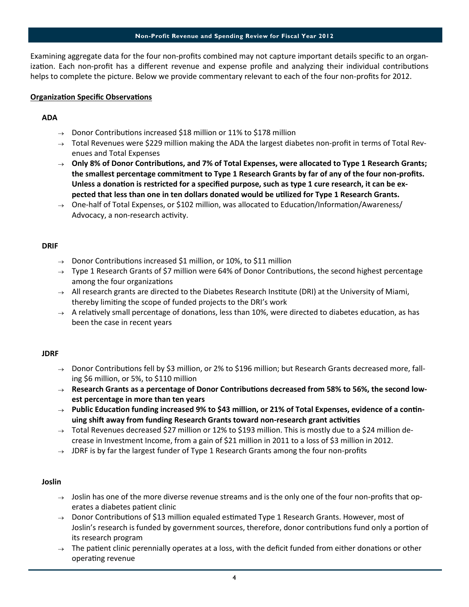#### **Non-Profit Revenue and Spending Review for Fiscal Year 2012**

Examining aggregate data for the four non-profits combined may not capture important details specific to an organization. Each non-profit has a different revenue and expense profile and analyzing their individual contributions helps to complete the picture. Below we provide commentary relevant to each of the four non-profits for 2012.

## **Organization Specific Observations**

## **ADA**

- $\rightarrow$  Donor Contributions increased \$18 million or 11% to \$178 million
- $\rightarrow$  Total Revenues were \$229 million making the ADA the largest diabetes non-profit in terms of Total Revenues and Total Expenses
- **Only 8% of Donor Contributions, and 7% of Total Expenses, were allocated to Type 1 Research Grants; the smallest percentage commitment to Type 1 Research Grants by far of any of the four non-profits. Unless a donation is restricted for a specified purpose, such as type 1 cure research, it can be expected that less than one in ten dollars donated would be utilized for Type 1 Research Grants.**
- $\rightarrow$  One-half of Total Expenses, or \$102 million, was allocated to Education/Information/Awareness/ Advocacy, a non-research activity.

## **DRIF**

- $\rightarrow$  Donor Contributions increased \$1 million, or 10%, to \$11 million
- $\rightarrow$  Type 1 Research Grants of \$7 million were 64% of Donor Contributions, the second highest percentage among the four organizations
- $\rightarrow$  All research grants are directed to the Diabetes Research Institute (DRI) at the University of Miami, thereby limiting the scope of funded projects to the DRI's work
- $\rightarrow$  A relatively small percentage of donations, less than 10%, were directed to diabetes education, as has been the case in recent years

## **JDRF**

- $\rightarrow$  Donor Contributions fell by \$3 million, or 2% to \$196 million; but Research Grants decreased more, falling \$6 million, or 5%, to \$110 million
- **Research Grants as a percentage of Donor Contributions decreased from 58% to 56%, the second lowest percentage in more than ten years**
- **Public Education funding increased 9% to \$43 million, or 21% of Total Expenses, evidence of a continuing shift away from funding Research Grants toward non-research grant activities**
- $\rightarrow$  Total Revenues decreased \$27 million or 12% to \$193 million. This is mostly due to a \$24 million decrease in Investment Income, from a gain of \$21 million in 2011 to a loss of \$3 million in 2012.
- $\rightarrow$  JDRF is by far the largest funder of Type 1 Research Grants among the four non-profits

## **Joslin**

- $\rightarrow$  Joslin has one of the more diverse revenue streams and is the only one of the four non-profits that operates a diabetes patient clinic
- $\rightarrow$  Donor Contributions of \$13 million equaled estimated Type 1 Research Grants. However, most of Joslin's research is funded by government sources, therefore, donor contributions fund only a portion of its research program
- $\rightarrow$  The patient clinic perennially operates at a loss, with the deficit funded from either donations or other operating revenue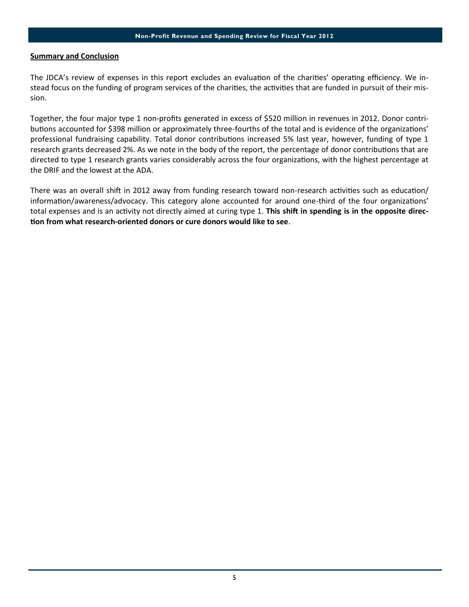## **Summary and Conclusion**

The JDCA's review of expenses in this report excludes an evaluation of the charities' operating efficiency. We instead focus on the funding of program services of the charities, the activities that are funded in pursuit of their mission.

Together, the four major type 1 non-profits generated in excess of \$520 million in revenues in 2012. Donor contributions accounted for \$398 million or approximately three-fourths of the total and is evidence of the organizations' professional fundraising capability. Total donor contributions increased 5% last year, however, funding of type 1 research grants decreased 2%. As we note in the body of the report, the percentage of donor contributions that are directed to type 1 research grants varies considerably across the four organizations, with the highest percentage at the DRIF and the lowest at the ADA.

There was an overall shift in 2012 away from funding research toward non-research activities such as education/ information/awareness/advocacy. This category alone accounted for around one-third of the four organizations' total expenses and is an activity not directly aimed at curing type 1. **This shift in spending is in the opposite direction from what research-oriented donors or cure donors would like to see**.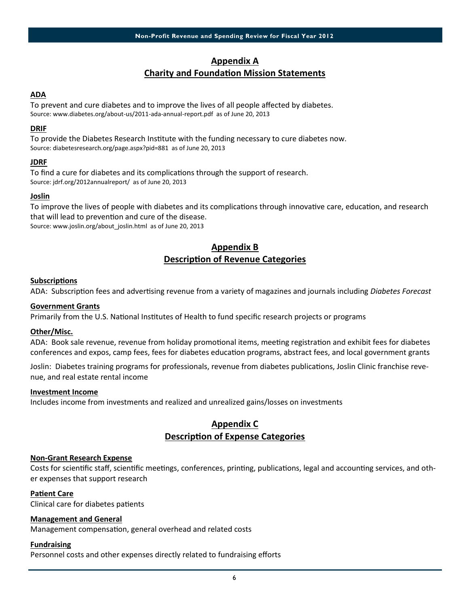## **Appendix A**

## **Charity and Foundation Mission Statements**

## **ADA**

To prevent and cure diabetes and to improve the lives of all people affected by diabetes. Source: www.diabetes.org/about-us/2011-ada-annual-report.pdf as of June 20, 2013

## **DRIF**

To provide the Diabetes Research Institute with the funding necessary to cure diabetes now. Source: diabetesresearch.org/page.aspx?pid=881 as of June 20, 2013

## **JDRF**

To find a cure for diabetes and its complications through the support of research. Source: jdrf.org/2012annualreport/ as of June 20, 2013

## **Joslin**

To improve the lives of people with diabetes and its complications through innovative care, education, and research that will lead to prevention and cure of the disease. Source: www.joslin.org/about\_joslin.html as of June 20, 2013

## **Appendix B Description of Revenue Categories**

## **Subscriptions**

ADA: Subscription fees and advertising revenue from a variety of magazines and journals including *Diabetes Forecast* 

## **Government Grants**

Primarily from the U.S. National Institutes of Health to fund specific research projects or programs

## **Other/Misc.**

ADA: Book sale revenue, revenue from holiday promotional items, meeting registration and exhibit fees for diabetes conferences and expos, camp fees, fees for diabetes education programs, abstract fees, and local government grants

Joslin: Diabetes training programs for professionals, revenue from diabetes publications, Joslin Clinic franchise revenue, and real estate rental income

## **Investment Income**

Includes income from investments and realized and unrealized gains/losses on investments

## **Appendix C Description of Expense Categories**

## **Non-Grant Research Expense**

Costs for scientific staff, scientific meetings, conferences, printing, publications, legal and accounting services, and other expenses that support research

## **Patient Care**

Clinical care for diabetes patients

## **Management and General**

Management compensation, general overhead and related costs

## **Fundraising**

Personnel costs and other expenses directly related to fundraising efforts